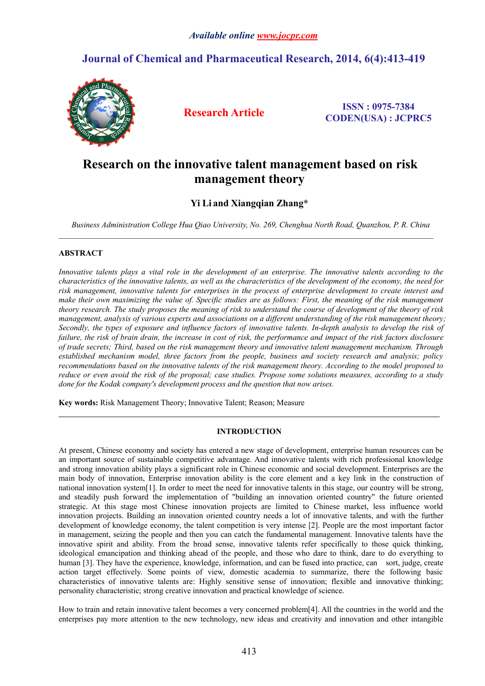# **Journal of Chemical and Pharmaceutical Research, 2014, 6(4):413-419**



**Research Article ISSN : 0975-7384 CODEN(USA) : JCPRC5**

# **Research on the innovative talent management based on risk management theory**

# **Yi Li and Xiangqian Zhang\***

*Business Administration College Hua Qiao University, No. 269, Chenghua North Road, Quanzhou, P. R. China*

 $\mathcal{L}_\mathcal{L} = \{ \mathcal{L}_\mathcal{L} = \{ \mathcal{L}_\mathcal{L} = \{ \mathcal{L}_\mathcal{L} = \{ \mathcal{L}_\mathcal{L} = \{ \mathcal{L}_\mathcal{L} = \{ \mathcal{L}_\mathcal{L} = \{ \mathcal{L}_\mathcal{L} = \{ \mathcal{L}_\mathcal{L} = \{ \mathcal{L}_\mathcal{L} = \{ \mathcal{L}_\mathcal{L} = \{ \mathcal{L}_\mathcal{L} = \{ \mathcal{L}_\mathcal{L} = \{ \mathcal{L}_\mathcal{L} = \{ \mathcal{L}_\mathcal{$ 

# **ABSTRACT**

Innovative talents plays a vital role in the development of an enterprise. The innovative talents according to the characteristics of the innovative talents, as well as the characteristics of the development of the economy, the need for risk management, innovative talents for enterprises in the process of enterprise development to create interest and make their own maximizing the value of. Specific studies are as follows: First, the meaning of the risk management theory research. The study proposes the meaning of risk to understand the course of development of the theory of risk management, analysis of various experts and associations on a different understanding of the risk management theory; Secondly, the types of exposure and influence factors of innovative talents. In-depth analysis to develop the risk of failure, the risk of brain drain, the increase in cost of risk, the performance and impact of the risk factors disclosure *of trade secrets; Third, based on the risk management theory and innovative talent management mechanism. Through established mechanism model, three factors from the people, business and society research and analysis; policy recommendations based on the innovative talents of the risk management theory. According to the modelproposed to* reduce or even avoid the risk of the proposal; case studies. Propose some solutions measures, according to a study *done for the Kodak company's development process and the question that now arises.*

**Key words:**Risk Management Theory; Innovative Talent; Reason; Measure

# **INTRODUCTION**

At present, Chinese economy and society has entered a new stage of development, enterprise human resources can be an important source of sustainable competitive advantage. And innovative talents with rich professional knowledge and strong innovation ability plays a significant role in Chinese economic and social development. Enterprises are the main body of innovation, Enterprise innovation ability is the core element and a key link in the construction of national innovation system[1]. In order to meet the need for innovative talents in this stage, our country will be strong, and steadily push forward the implementation of "building an innovation oriented country" the future oriented strategic. At this stage most Chinese innovation projects are limited to Chinese market, less influence world innovation projects. Building an innovation oriented country needs a lot of innovative talents, and with the further development of knowledge economy, the talent competition is very intense [2]. People are the most important factor in management, seizing the people and then you can catch the fundamental management. Innovative talents have the innovative spirit and ability. From the broad sense, innovative talents refer specifically to those quick thinking, ideological emancipation and thinking ahead of the people, and those who dare to think, dare to do everything to human [3]. They have the experience, knowledge, information, and can be fused into practice, can sort, judge, create action target effectively. Some points of view, domestic academia to summarize, there the following basic characteristics of innovative talents are: Highly sensitive sense of innovation; flexible and innovative thinking; personality characteristic; strong creative innovation and practical knowledge of science.

How to train and retain innovative talent becomes a very concerned problem[4]. All the countries in the world and the enterprises pay more attention to the new technology, new ideas and creativity and innovation and other intangible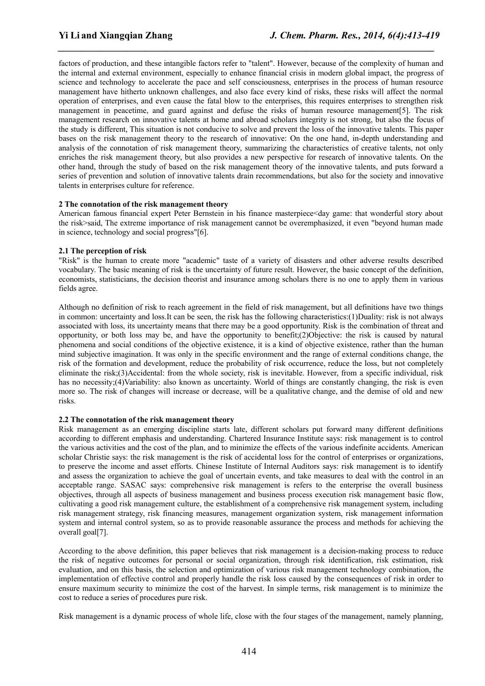factors of production, and these intangible factors refer to "talent". However, because of the complexity of human and the internal and external environment, especially to enhance financial crisis in modern global impact, the progress of science and technology to accelerate the pace and self consciousness, enterprises in the process of human resource management have hitherto unknown challenges, and also face every kind of risks, these risks will affect the normal operation of enterprises, and even cause the fatal blow to the enterprises, this requires enterprises to strengthen risk management in peacetime, and guard against and defuse the risks of human resource management [5]. The risk management research on innovative talents at home and abroad scholars integrity is not strong, but also the focus of the study is different, This situation is not conducive to solve and prevent the loss of the innovative talents. This paper bases on the risk management theory to the research of innovative: On the one hand, in-depth understanding and analysis of the connotation of risk management theory, summarizing the characteristics of creative talents, not only enriches the risk management theory, but also provides a new perspective for research of innovative talents. On the other hand, through the study of based on the risk management theory of the innovative talents, and puts forward a series of prevention and solution of innovative talents drain recommendations, but also for the society and innovative talents in enterprises culture for reference.

*\_\_\_\_\_\_\_\_\_\_\_\_\_\_\_\_\_\_\_\_\_\_\_\_\_\_\_\_\_\_\_\_\_\_\_\_\_\_\_\_\_\_\_\_\_\_\_\_\_\_\_\_\_\_\_\_\_\_\_\_\_\_\_\_\_\_\_\_\_\_\_\_\_\_\_\_\_*

# **2 The connotation of the risk management theory**

American famous financial expert Peter Bernstein in his finance masterpiece<day game: that wonderful story about the risk>said, The extreme importance of risk management cannot be overemphasized, it even "beyond human made in science, technology and social progress"[6].

# **2.1 The perception of risk**

"Risk" is the human to create more "academic" taste of a variety of disasters and other adverse results described vocabulary. The basic meaning of risk is the uncertainty of future result. However, the basic concept of the definition, economists, statisticians, the decision theorist and insurance among scholars there is no one to apply them in various fields agree.

Although no definition of risk to reach agreement in the field of risk management, but all definitions have two things in common: uncertainty and loss.It can be seen, the risk has the following characteristics:(1)Duality: risk is not always associated with loss, its uncertainty means that there may be a good opportunity. Risk is the combination of threat and opportunity, or both loss may be, and have the opportunity to benefit;(2)Objective: the risk is caused by natural phenomena and social conditions of the objective existence, it is a kind of objective existence, rather than the human mind subjective imagination. It was only in the specific environment and the range of external conditions change, the risk of the formation and development, reduce the probability of risk occurrence, reduce the loss,but not completely eliminate the risk;(3)Accidental: from the whole society, risk is inevitable. However, from a specific individual, risk has no necessity;(4)Variability: also known as uncertainty. World of things are constantly changing, the risk is even more so. The risk of changes will increase or decrease, will be a qualitative change, and the demise of old and new risks.

# **2.2 The connotation of the risk management theory**

Risk management as an emerging discipline starts late, different scholars put forward many different definitions according to different emphasis and understanding. Chartered Insurance Institute says: risk management is to control the various activities and the cost of the plan, and to minimize the effects ofthe various indefinite accidents. American scholar Christie says: the risk management is the risk of accidental loss for the controlof enterprises or organizations, to preserve the income and asset efforts. Chinese Institute of Internal Auditors says: risk management is to identify and assess the organization to achieve the goal of uncertain events, and take measures to deal with the controlin an acceptable range. SASAC says: comprehensive risk management is refers to the enterprise the overall business objectives, through all aspects of business management and business process execution risk management basic flow, cultivating a good risk management culture, the establishment of a comprehensive risk management system, including risk management strategy, risk financing measures, management organization system, risk management information system and internal control system, so as to provide reasonable assurance the process and methods for achieving the overall goal[7].

According to the above definition, this paper believes that risk management is a decision-making process to reduce the risk of negative outcomes for personal or social organization, through risk identification, risk estimation, risk evaluation, and on this basis, the selection and optimization of various risk management technology combination, the implementation of effective controland properly handle the risk loss caused by the consequences of risk in order to ensure maximum security to minimize the cost of the harvest. In simple terms, risk management is to minimize the cost to reduce a series of procedures pure risk.

Risk management is a dynamic process of whole life, close with the four stages of the management, namely planning,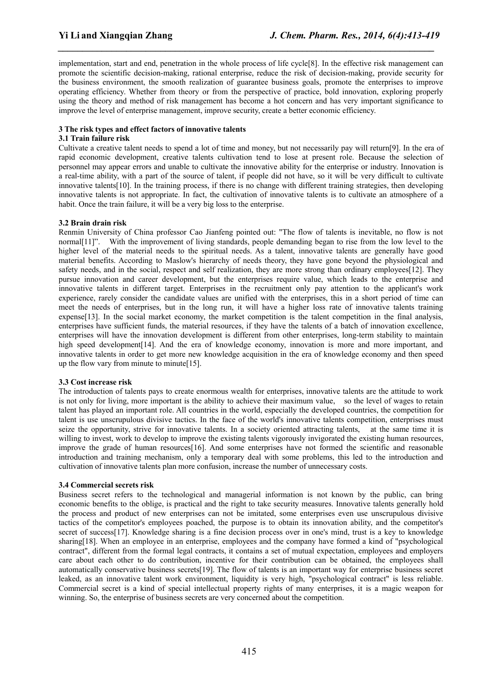implementation, start and end, penetration in the whole process of life cycle[8]. In the effective risk management can promote the scientific decision-making, rational enterprise, reduce the risk of decision-making, provide security for the business environment, the smooth realization of guarantee business goals, promote the enterprises to improve operating efficiency. Whether from theory or from the perspective of practice, bold innovation, exploring properly using the theory and method of risk management has become a hot concern and has very important significance to improve the level of enterprise management, improve security, create a better economic efficiency.

*\_\_\_\_\_\_\_\_\_\_\_\_\_\_\_\_\_\_\_\_\_\_\_\_\_\_\_\_\_\_\_\_\_\_\_\_\_\_\_\_\_\_\_\_\_\_\_\_\_\_\_\_\_\_\_\_\_\_\_\_\_\_\_\_\_\_\_\_\_\_\_\_\_\_\_\_\_*

#### **3 The risk types and effect factors ofinnovative talents**

#### **3.1 Train failure risk**

Cultivate a creative talent needs to spend a lot of time and money, but not necessarily pay will return[9]. In the era of rapid economic development, creative talents cultivation tend to lose at present role. Because the selection of personnel may appear errors and unable to cultivate the innovative ability for the enterprise or industry. Innovation is a real-time ability, with a part of the source of talent, if people did not have, so it will be very difficult to cultivate innovative talents[10]. In the training process, if there is no change with different training strategies, then developing innovative talents is not appropriate. In fact, the cultivation of innovative talents is to cultivate an atmosphere of a habit. Once the train failure, it will be a very big loss to the enterprise.

# **3.2 Brain drain risk**

Renmin University of China professor Cao Jianfeng pointed out: "The flow of talents is inevitable, no flow is not normal[11]". With the improvement of living standards, people demanding began to rise from the low level to the higher level of the material needs to the spiritual needs. As a talent, innovative talents are generally have good material benefits. According to Maslow's hierarchy of needs theory, they have gone beyond the physiological and safety needs, and in the social, respect and self realization, they are more strong than ordinary employees[12]. They pursue innovation and career development, but the enterprises require value, which leads to the enterprise and innovative talents in different target. Enterprises in the recruitment only pay attention to the applicant's work experience, rarely consider the candidate values are unified with the enterprises, this in a short period of time can meet the needs of enterprises, but in the long run, it will have a higher loss rate of innovative talents training expense<sup>[13]</sup>. In the social market economy, the market competition is the talent competition in the final analysis, enterprises have sufficient funds, the material resources, if they have the talents of a batch of innovation excellence, enterprises will have the innovation development is different from other enterprises, long-term stability to maintain high speed development [14]. And the era of knowledge economy, innovation is more and more important, and innovative talents in order to get more new knowledge acquisition in the era of knowledge economy and then speed up the flow vary from minute to minute[15].

#### **3.3 Cost increase risk**

The introduction of talents pays to create enormous wealth for enterprises, innovative talents are the attitude to work is not only for living, more important is the ability to achieve their maximum value, so the level of wages to retain talent has played an important role. All countries in the world, especially the developed countries, the competition for talent is use unscrupulous divisive tactics. In the face of the world's innovative talents competition, enterprises must seize the opportunity, strive for innovative talents. In a society oriented attracting talents, at the same time it is willing to invest, work to develop to improve the existing talents vigorously invigorated the existing human resources, improve the grade of human resources[16]. And some enterprises have not formed the scientific and reasonable introduction and training mechanism, only a temporary deal with some problems, this led to the introduction and cultivation of innovative talents plan more confusion, increase the number of unnecessary costs.

# **3.4 Commercial secrets risk**

Business secret refers to the technological and managerial information is not known by the public, can bring economic benefits to the oblige, is practical and the right to take security measures. Innovative talents generally hold the process and product of new enterprises can not be imitated, some enterprises even use unscrupulous divisive tactics of the competitor's employees poached, the purpose is to obtain its innovation ability, and the competitor's secret of success[17]. Knowledge sharing is a fine decision process over in one's mind, trust is a key to knowledge sharing[18]. When an employee in an enterprise, employees and the company have formed a kind of "psychological contract", different from the formal legal contracts, it contains a setof mutual expectation, employees and employers care about each other to do contribution, incentive for their contribution can be obtained, the employees shall automatically conservative business secrets[19]. The flow of talents is an important way for enterprise business secret leaked, as an innovative talent work environment, liquidity is very high, "psychological contract" is less reliable. Commercial secret is a kind of special intellectual property rights of many enterprises, it is a magic weapon for winning. So, the enterprise of business secrets are very concerned about the competition.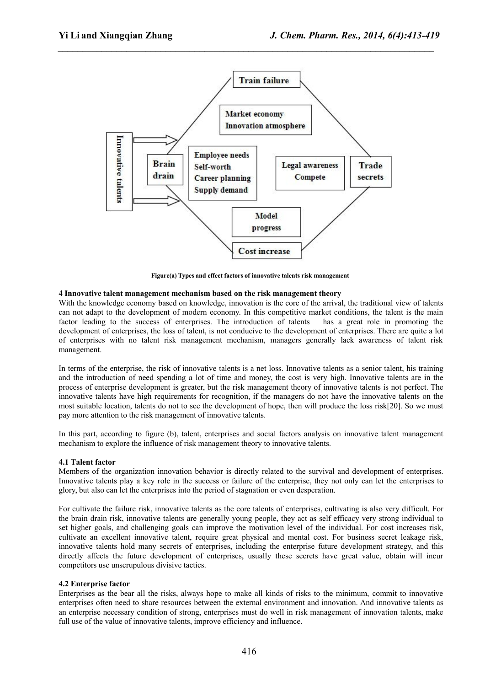*\_\_\_\_\_\_\_\_\_\_\_\_\_\_\_\_\_\_\_\_\_\_\_\_\_\_\_\_\_\_\_\_\_\_\_\_\_\_\_\_\_\_\_\_\_\_\_\_\_\_\_\_\_\_\_\_\_\_\_\_\_\_\_\_\_\_\_\_\_\_\_\_\_\_\_\_\_*



**Figure(a) Types and effect factors ofinnovative talents risk management**

# **4 Innovative talent management mechanism based on the risk management theory**

With the knowledge economy based on knowledge, innovation is the core of the arrival, the traditional view of talents can not adapt to the development of modern economy. In this competitive market conditions, the talent is the main factor leading to the success of enterprises. The introduction of talents has a great role in promoting the development of enterprises, the loss of talent, is not conducive to the development of enterprises. There are quite a lot of enterprises with no talent risk management mechanism, managers generally lack awareness of talent risk management.

In terms of the enterprise, the risk of innovative talents is a net loss. Innovative talents as a senior talent, his training and the introduction of need spending a lot of time and money, the cost is very high. Innovative talents are in the process of enterprise development is greater, but the risk management theory of innovative talents is not perfect. The innovative talents have high requirements for recognition, if the managers do not have the innovative talents on the most suitable location, talents do not to see the development of hope, then will produce the loss risk[20]. So we must pay more attention to the risk management of innovative talents.

In this part, according to figure (b), talent, enterprises and social factors analysis on innovative talent management mechanism to explore the influence of risk management theory to innovative talents.

# **4.1 Talent factor**

Members of the organization innovation behavior is directly related to the survival and development of enterprises. Innovative talents play a key role in the success or failure of the enterprise, they not only can let the enterprises to glory, but also can let the enterprises into the period of stagnation or even desperation.

For cultivate the failure risk, innovative talents as the core talents of enterprises, cultivating is also very difficult. For the brain drain risk, innovative talents are generally young people, they act as self efficacy very strong individual to set higher goals, and challenging goals can improve the motivation level of the individual. For cost increases risk, cultivate an excellent innovative talent, require great physical and mental cost. For business secret leakage risk, innovative talents hold many secrets of enterprises, including the enterprise future development strategy, and this directly affects the future development of enterprises, usually these secrets have great value, obtain will incur competitors use unscrupulous divisive tactics.

#### **4.2 Enterprise factor**

Enterprises as the bearall the risks, always hope to make all kinds of risks to the minimum, commit to innovative enterprises often need to share resources between the external environment and innovation. And innovative talents as an enterprise necessary condition of strong, enterprises must do well in risk management of innovation talents, make full use of the value of innovative talents, improve efficiency and influence.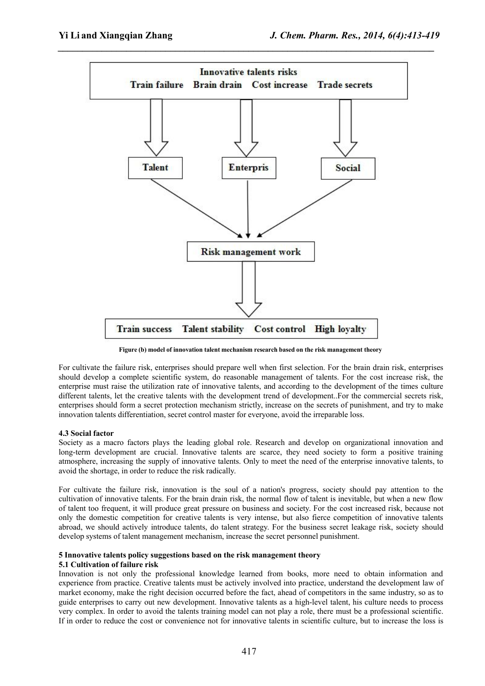*\_\_\_\_\_\_\_\_\_\_\_\_\_\_\_\_\_\_\_\_\_\_\_\_\_\_\_\_\_\_\_\_\_\_\_\_\_\_\_\_\_\_\_\_\_\_\_\_\_\_\_\_\_\_\_\_\_\_\_\_\_\_\_\_\_\_\_\_\_\_\_\_\_\_\_\_\_*



**Figure (b) model of innovation talent mechanism research based on the risk management theory**

For cultivate the failure risk, enterprises should prepare well when first selection. For the brain drain risk, enterprises should develop a complete scientific system, do reasonable management of talents. For the cost increase risk, the enterprise must raise the utilization rate of innovative talents, and according to the development of the times culture different talents, let the creative talents with the development trend of development..For the commercial secrets risk, enterprises should form a secret protection mechanism strictly, increase on the secrets of punishment, and try to make innovation talents differentiation, secret control master for everyone, avoid the irreparable loss.

# **4.3 Social factor**

Society as a macro factors plays the leading global role. Research and develop on organizational innovation and long-term development are crucial. Innovative talents are scarce, they need society to form a positive training atmosphere, increasing the supply of innovative talents. Only to meet the need of the enterprise innovative talents, to avoid the shortage, in order to reduce the risk radically.

For cultivate the failure risk, innovation is the soul of a nation's progress, society should pay attention to the cultivation of innovative talents. For the brain drain risk, the normalflow of talent is inevitable, but when a new flow of talent too frequent, it will produce great pressure on business and society. For the cost increased risk, because not only the domestic competition for creative talents is very intense, but also fierce competition of innovative talents abroad, we should actively introduce talents, do talent strategy. For the business secret leakage risk, society should develop systems of talent management mechanism, increase the secret personnel punishment.

# **5 Innovative talents policy suggestions based on the risk management theory**

# **5.1 Cultivation of failure risk**

Innovation is not only the professional knowledge learned from books, more need to obtain information and experience from practice. Creative talents must be actively involved into practice, understand the development law of market economy, make the right decision occurred before the fact, ahead of competitors in the same industry, so as to guide enterprises to carry out new development. Innovative talents as a high-level talent, his culture needs to process very complex. In order to avoid the talents training model can not play a role, there must be a professional scientific. If in order to reduce the cost or convenience not for innovative talents in scientific culture, but to increase the loss is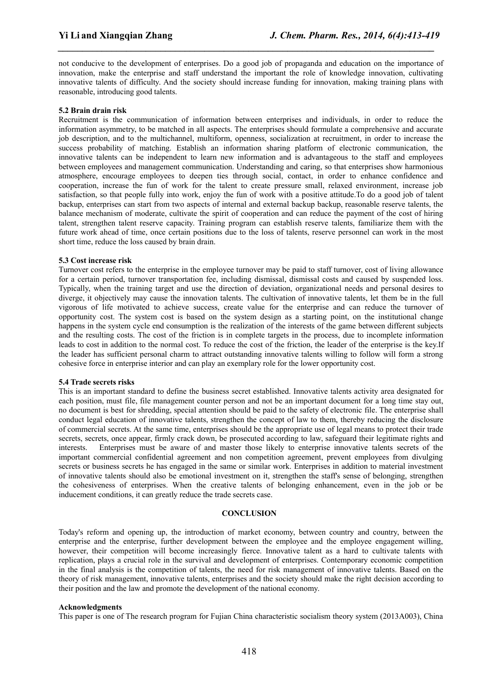not conducive to the development of enterprises. Do a good job of propaganda and education on the importance of innovation, make the enterprise and staff understand the important the role of knowledge innovation, cultivating innovative talents of difficulty. And the society should increase funding for innovation, making training plans with reasonable, introducing good talents.

*\_\_\_\_\_\_\_\_\_\_\_\_\_\_\_\_\_\_\_\_\_\_\_\_\_\_\_\_\_\_\_\_\_\_\_\_\_\_\_\_\_\_\_\_\_\_\_\_\_\_\_\_\_\_\_\_\_\_\_\_\_\_\_\_\_\_\_\_\_\_\_\_\_\_\_\_\_*

#### **5.2 Brain drain risk**

Recruitment is the communication of information between enterprises and individuals, in order to reduce the information asymmetry, to be matched in all aspects. The enterprises should formulate a comprehensive and accurate job description, and to the multichannel, multiform, openness, socialization at recruitment, in order to increase the success probability of matching. Establish an information sharing platform of electronic communication, the innovative talents can be independent to learn new information and is advantageous to the staff and employees between employees and management communication. Understanding and caring, so that enterprises show harmonious atmosphere, encourage employees to deepen ties through social, contact, in order to enhance confidence and cooperation, increase the fun of work for the talent to create pressure small, relaxed environment, increase job satisfaction, so that people fully into work, enjoy the fun of work with a positive attitude.To do a good job of talent backup, enterprises can start from two aspects of internaland external backup backup, reasonable reserve talents, the balance mechanism of moderate, cultivate the spirit of cooperation and can reduce the payment of the cost of hiring talent, strengthen talent reserve capacity. Training program can establish reserve talents, familiarize them with the future work ahead of time, once certain positions due to the loss of talents, reserve personnel can work in the most short time, reduce the loss caused by brain drain.

#### **5.3 Cost increase risk**

Turnover cost refers to the enterprise in the employee turnover may be paid to staff turnover, cost of living allowance for a certain period, turnover transportation fee, including dismissal, dismissal costs and caused by suspended loss. Typically, when the training target and use the direction of deviation, organizational needs and personal desires to diverge, it objectively may cause the innovation talents. The cultivation of innovative talents, let them be in the full vigorous of life motivated to achieve success, create value for the enterprise and can reduce the turnover of opportunity cost. The system cost is based on the system design as a starting point, on the institutional change happens in the system cycle end consumption is the realization of the interests of the game between different subjects and the resulting costs. The cost of the friction is in complete targets in the process, due to incomplete information leads to cost in addition to the normal cost. To reduce the cost of the friction, the leader of the enterprise is the key.If the leader has sufficient personal charm to attract outstanding innovative talents willing to follow will form a strong cohesive force in enterprise interior and can play an exemplary role forthe lower opportunity cost.

#### **5.4 Trade secrets risks**

This is an important standard to define the business secret established. Innovative talents activity area designated for each position, must file, file management counter person and not be an important document for a long time stay out, no documentis best for shredding, special attention should be paid to the safety of electronic file. The enterprise shall conduct legal education of innovative talents, strengthen the concept of law to them, thereby reducing the disclosure of commercial secrets. At the same time, enterprises should be the appropriate use of legal means to protect their trade secrets, secrets, once appear, firmly crack down, be prosecuted according to law, safeguard their legitimate rights and interests. Enterprises must be aware of and master those likely to enterprise innovative talents secrets of the important commercial confidential agreement and non competition agreement, prevent employees from divulging secrets or business secrets he has engaged in the same or similar work. Enterprises in addition to material investment of innovative talents should also be emotional investment on it, strengthen the staff's sense of belonging, strengthen the cohesiveness of enterprises. When the creative talents of belonging enhancement, even in the job or be inducement conditions, it can greatly reduce the trade secrets case.

#### **CONCLUSION**

Today's reform and opening up, the introduction of market economy, between country and country, between the enterprise and the enterprise, further development between the employee and the employee engagement willing, however, their competition will become increasingly fierce. Innovative talent as a hard to cultivate talents with replication, plays a crucial role in the survival and development of enterprises. Contemporary economic competition in the final analysis is the competition of talents, the need for risk management of innovative talents. Based on the theory of risk management, innovative talents, enterprises and the society should make the right decision according to their position and the law and promote the development of the national economy.

#### **Acknowledgments**

This paper is one of The research program for Fujian China characteristic socialism theory system (2013A003), China